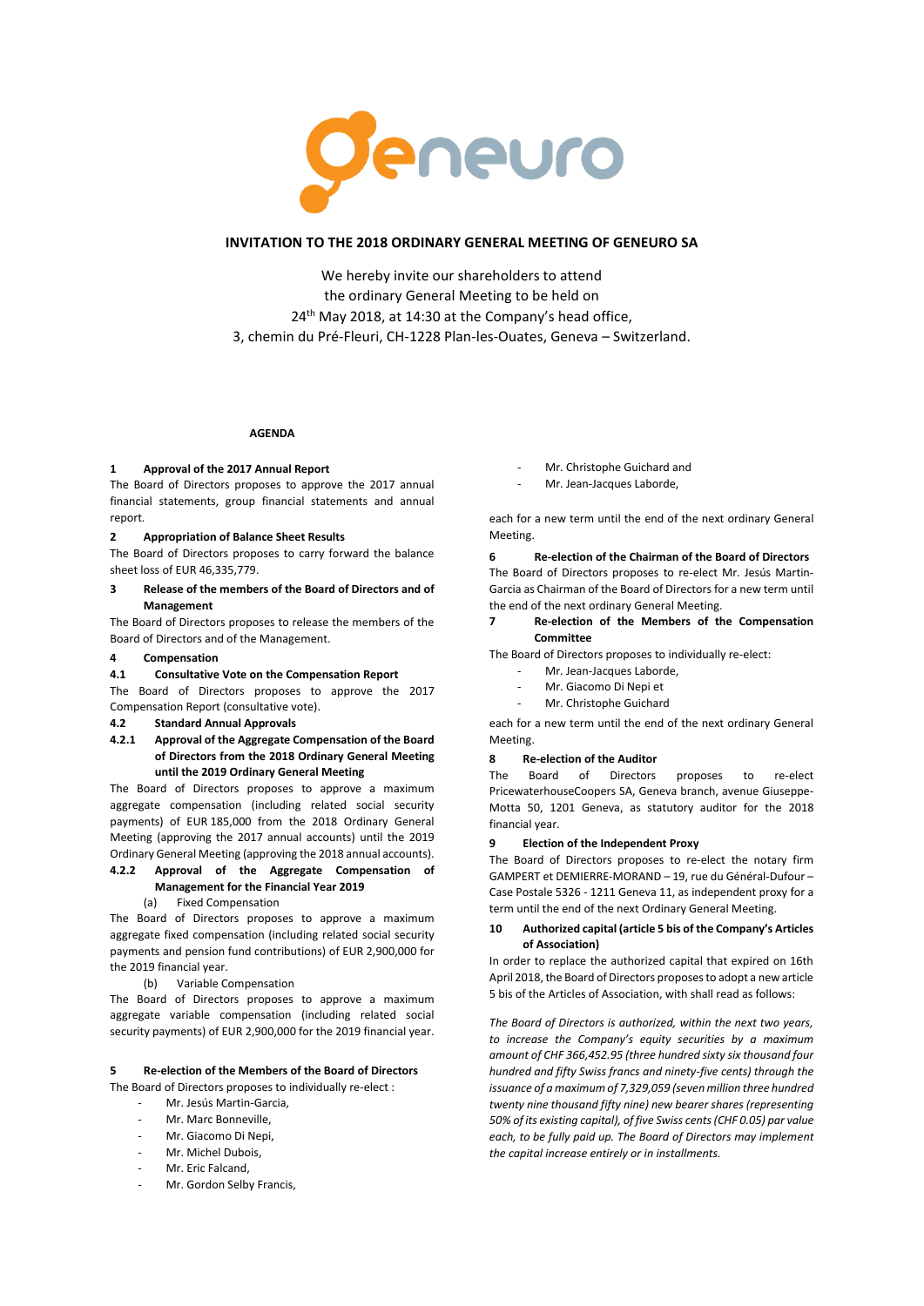

## **INVITATION TO THE 2018 ORDINARY GENERAL MEETING OF GENEURO SA**

We hereby invite our shareholders to attend the ordinary General Meeting to be held on 24<sup>th</sup> May 2018, at 14:30 at the Company's head office, 3, chemin du Pré-Fleuri, CH-1228 Plan-les-Ouates, Geneva – Switzerland.

## **AGENDA**

#### **1 Approval of the 2017 Annual Report**

The Board of Directors proposes to approve the 2017 annual financial statements, group financial statements and annual report.

## **2 Appropriation of Balance Sheet Results**

The Board of Directors proposes to carry forward the balance sheet loss of EUR 46,335,779.

**3 Release of the members of the Board of Directors and of Management**

The Board of Directors proposes to release the members of the Board of Directors and of the Management.

### **4 Compensation**

### **4.1 Consultative Vote on the Compensation Report**

The Board of Directors proposes to approve the 2017 Compensation Report (consultative vote).

### **4.2 Standard Annual Approvals**

**4.2.1 Approval of the Aggregate Compensation of the Board of Directors from the 2018 Ordinary General Meeting until the 2019 Ordinary General Meeting** 

The Board of Directors proposes to approve a maximum aggregate compensation (including related social security payments) of EUR 185,000 from the 2018 Ordinary General Meeting (approving the 2017 annual accounts) until the 2019 Ordinary General Meeting (approving the 2018 annual accounts).

# **4.2.2 Approval of the Aggregate Compensation of Management for the Financial Year 2019**

(a) Fixed Compensation

The Board of Directors proposes to approve a maximum aggregate fixed compensation (including related social security payments and pension fund contributions) of EUR 2,900,000 for the 2019 financial year.

### (b) Variable Compensation

The Board of Directors proposes to approve a maximum aggregate variable compensation (including related social security payments) of EUR 2,900,000 for the 2019 financial year.

## **5 Re-election of the Members of the Board of Directors**

The Board of Directors proposes to individually re-elect :

- Mr. Jesús Martin-Garcia,
- Mr. Marc Bonneville.
- Mr. Giacomo Di Nepi,
- Mr. Michel Dubois,
- Mr. Eric Falcand
- Mr. Gordon Selby Francis.
- Mr. Christophe Guichard and
- Mr. Jean-Jacques Laborde,

each for a new term until the end of the next ordinary General Meeting.

**6 Re-election of the Chairman of the Board of Directors**

The Board of Directors proposes to re-elect Mr. Jesús Martin-Garcia as Chairman of the Board of Directors for a new term until the end of the next ordinary General Meeting.

### **7 Re-election of the Members of the Compensation Committee**

The Board of Directors proposes to individually re-elect:

- Mr. Jean-Jacques Laborde,
- Mr. Giacomo Di Nepi et
- Mr. Christophe Guichard

each for a new term until the end of the next ordinary General Meeting.

## **8 Re-election of the Auditor**

The Board of Directors proposes to re-elect PricewaterhouseCoopers SA, Geneva branch, avenue Giuseppe-Motta 50, 1201 Geneva, as statutory auditor for the 2018 financial year.

#### **9 Election of the Independent Proxy**

The Board of Directors proposes to re-elect the notary firm GAMPERT et DEMIERRE-MORAND – 19, rue du Général-Dufour – Case Postale 5326 - 1211 Geneva 11, as independent proxy for a term until the end of the next Ordinary General Meeting.

## **10 Authorized capital (article 5 bis of the Company's Articles of Association)**

In order to replace the authorized capital that expired on 16th April 2018, the Board of Directors proposes to adopt a new article 5 bis of the Articles of Association, with shall read as follows:

*The Board of Directors is authorized, within the next two years, to increase the Company's equity securities by a maximum amount of CHF 366,452.95 (three hundred sixty six thousand four hundred and fifty Swiss francs and ninety-five cents) through the issuance of a maximum of 7,329,059 (seven million three hundred twenty nine thousand fifty nine) new bearer shares (representing 50% of its existing capital), of five Swiss cents (CHF 0.05) par value each, to be fully paid up. The Board of Directors may implement the capital increase entirely or in installments.*